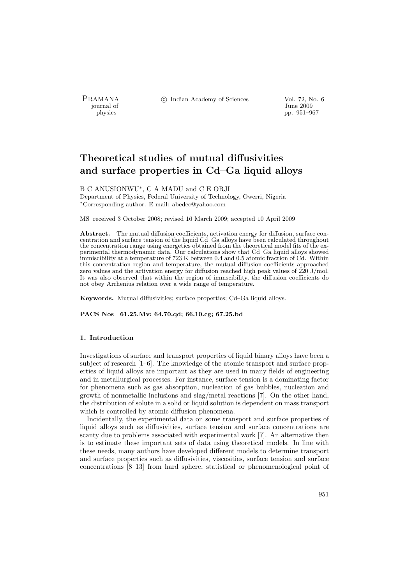- journal of<br>physics

PRAMANA <sup>©</sup>© Indian Academy of Sciences Vol. 72, No. 6<br>
— journal of Unne 2009

pp. 951–967

# Theoretical studies of mutual diffusivities and surface properties in Cd–Ga liquid alloys

B C ANUSIONWU<sup>∗</sup> , C A MADU and C E ORJI

Department of Physics, Federal University of Technology, Owerri, Nigeria <sup>∗</sup>Corresponding author. E-mail: abedec@yahoo.com

MS received 3 October 2008; revised 16 March 2009; accepted 10 April 2009

Abstract. The mutual diffusion coefficients, activation energy for diffusion, surface concentration and surface tension of the liquid Cd–Ga alloys have been calculated throughout the concentration range using energetics obtained from the theoretical model fits of the experimental thermodynamic data. Our calculations show that Cd–Ga liquid alloys showed immiscibility at a temperature of 723 K between 0.4 and 0.5 atomic fraction of Cd. Within this concentration region and temperature, the mutual diffusion coefficients approached zero values and the activation energy for diffusion reached high peak values of 220 J/mol. It was also observed that within the region of immscibility, the diffusion coefficients do not obey Arrhenius relation over a wide range of temperature.

Keywords. Mutual diffusivities; surface properties; Cd–Ga liquid alloys.

PACS Nos 61.25.Mv; 64.70.qd; 66.10.cg; 67.25.bd

# 1. Introduction

Investigations of surface and transport properties of liquid binary alloys have been a subject of research [1–6]. The knowledge of the atomic transport and surface properties of liquid alloys are important as they are used in many fields of engineering and in metallurgical processes. For instance, surface tension is a dominating factor for phenomena such as gas absorption, nucleation of gas bubbles, nucleation and growth of nonmetallic inclusions and slag/metal reactions [7]. On the other hand, the distribution of solute in a solid or liquid solution is dependent on mass transport which is controlled by atomic diffusion phenomena.

Incidentally, the experimental data on some transport and surface properties of liquid alloys such as diffusivities, surface tension and surface concentrations are scanty due to problems associated with experimental work [7]. An alternative then is to estimate these important sets of data using theoretical models. In line with these needs, many authors have developed different models to determine transport and surface properties such as diffusivities, viscosities, surface tension and surface concentrations [8–13] from hard sphere, statistical or phenomenological point of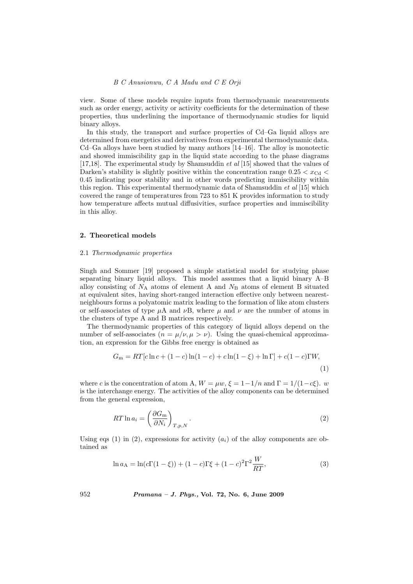view. Some of these models require inputs from thermodynamic mearsurements such as order energy, activity or activity coefficients for the determination of these properties, thus underlining the importance of thermodynamic studies for liquid binary alloys.

In this study, the transport and surface properties of Cd–Ga liquid alloys are determined from energetics and derivatives from experimental thermodynamic data. Cd–Ga alloys have been studied by many authors [14–16]. The alloy is monotectic and showed immiscibility gap in the liquid state according to the phase diagrams [17,18]. The experimental study by Shamsuddin et al [15] showed that the values of Darken's stability is slightly positive within the concentration range  $0.25 < x_{\text{Cd}} <$ 0.45 indicating poor stability and in other words predicting immiscibility within this region. This experimental thermodynamic data of Shamsuddin et al [15] which covered the range of temperatures from 723 to 851 K provides information to study how temperature affects mutual diffusivities, surface properties and immiscibility in this alloy.

# 2. Theoretical models

### 2.1 Thermodynamic properties

Singh and Sommer [19] proposed a simple statistical model for studying phase separating binary liquid alloys. This model assumes that a liquid binary A–B alloy consisting of  $N_A$  atoms of element A and  $N_B$  atoms of element B situated at equivalent sites, having short-ranged interaction effective only between nearestneighbours forms a polyatomic matrix leading to the formation of like atom clusters or self-associates of type  $\mu A$  and  $\nu B$ , where  $\mu$  and  $\nu$  are the number of atoms in the clusters of type A and B matrices respectively.

The thermodynamic properties of this category of liquid alloys depend on the number of self-associates  $(n = \mu/\nu, \mu > \nu)$ . Using the quasi-chemical approximation, an expression for the Gibbs free energy is obtained as

$$
G_{\rm m} = RT[c\ln c + (1-c)\ln(1-c) + c\ln(1-\xi) + \ln\Gamma] + c(1-c)\Gamma W,
$$
\n(1)

where c is the concentration of atom A,  $W = \mu w$ ,  $\xi = 1 - 1/n$  and  $\Gamma = 1/(1 - c\xi)$ . w is the interchange energy. The activities of the alloy components can be determined from the general expression,

$$
RT \ln a_i = \left(\frac{\partial G_{\rm m}}{\partial N_i}\right)_{T, p, N}.
$$
\n(2)

Using eqs (1) in (2), expressions for activity  $(a_i)$  of the alloy components are obtained as

$$
\ln a_A = \ln(c\Gamma(1-\xi)) + (1-c)\Gamma\xi + (1-c)^2\Gamma^2 \frac{W}{RT},
$$
\n(3)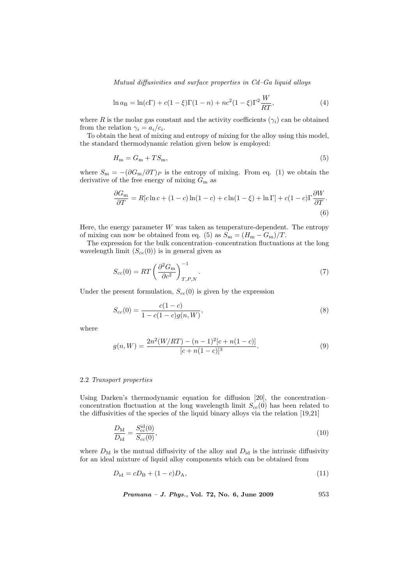Mutual diffusivities and surface properties in Cd–Ga liquid alloys

$$
\ln a_{\rm B} = \ln(c\Gamma) + c(1-\xi)\Gamma(1-n) + nc^2(1-\xi)\Gamma^2 \frac{W}{RT},\tag{4}
$$

where R is the molar gas constant and the activity coefficients ( $\gamma_i$ ) can be obtained from the relation  $\gamma_i = a_i/c_i$ .

To obtain the heat of mixing and entropy of mixing for the alloy using this model, the standard thermodynamic relation given below is employed:

$$
H_{\rm m} = G_{\rm m} + TS_{\rm m},\tag{5}
$$

where  $S_{\rm m} = -(\partial G_{\rm m}/\partial T)P$  is the entropy of mixing. From eq. (1) we obtain the derivative of the free energy of mixing  $G<sub>m</sub>$  as

$$
\frac{\partial G_{\rm m}}{\partial T} = R[c \ln c + (1 - c) \ln(1 - c) + c \ln(1 - \xi) + \ln \Gamma] + c(1 - c)\Gamma \frac{\partial W}{\partial T}.
$$
\n(6)

Here, the energy parameter  $W$  was taken as temperature-dependent. The entropy of mixing can now be obtained from eq. (5) as  $S_m = (H_m - G_m)/T$ .

The expression for the bulk concentration–concentration fluctuations at the long wavelength limit  $(S_{cc}(0))$  is in general given as

$$
S_{cc}(0) = RT \left(\frac{\partial^2 G_{\rm m}}{\partial c^2}\right)_{T,P,N}^{-1}.
$$
\n(7)

Under the present formulation,  $S_{cc}(0)$  is given by the expression

$$
S_{cc}(0) = \frac{c(1-c)}{1 - c(1-c)g(n, W)},
$$
\n(8)

where

$$
g(n, W) = \frac{2n^2(W/RT) - (n-1)^2[c+n(1-c)]}{[c+n(1-c)]^3}.
$$
\n(9)

#### 2.2 Transport properties

Using Darken's thermodynamic equation for diffusion [20], the concentration– concentration fluctuation at the long wavelength limit  $S_{cc}(0)$  has been related to the diffusivities of the species of the liquid binary alloys via the relation [19,21]

$$
\frac{D_{\rm M}}{D_{\rm id}} = \frac{S_{cc}^{\rm id}(0)}{S_{cc}(0)},\tag{10}
$$

where  $D_M$  is the mutual diffusivity of the alloy and  $D_{\rm id}$  is the intrinsic diffusivity for an ideal mixture of liquid alloy components which can be obtained from

$$
D_{\rm id} = cD_{\rm B} + (1 - c)D_{\rm A},\tag{11}
$$

Pramana – J. Phys., Vol. 72, No. 6, June 2009 953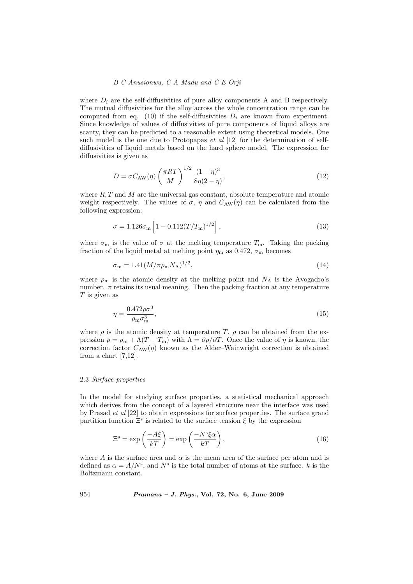# B C Anusionwu, C A Madu and C E Orji

where  $D_i$  are the self-diffusivities of pure alloy components A and B respectively. The mutual diffusivities for the alloy across the whole concentration range can be computed from eq. (10) if the self-diffusivities  $D_i$  are known from experiment. Since knowledge of values of diffusivities of pure components of liquid alloys are scanty, they can be predicted to a reasonable extent using theoretical models. One such model is the one due to Protopapas  $et \ al \ [12]$  for the determination of selfdiffusivities of liquid metals based on the hard sphere model. The expression for diffusivities is given as

$$
D = \sigma C_{\text{AW}}(\eta) \left(\frac{\pi RT}{M}\right)^{1/2} \frac{(1-\eta)^3}{8\eta(2-\eta)},\tag{12}
$$

where  $R, T$  and M are the universal gas constant, absolute temperature and atomic weight respectively. The values of  $\sigma$ ,  $\eta$  and  $C_{AW}(\eta)$  can be calculated from the following expression:

$$
\sigma = 1.126 \sigma_{\rm m} \left[ 1 - 0.112 (T/T_{\rm m})^{1/2} \right], \tag{13}
$$

where  $\sigma_{\rm m}$  is the value of  $\sigma$  at the melting temperature  $T_{\rm m}$ . Taking the packing fraction of the liquid metal at melting point  $\eta_m$  as 0.472,  $\sigma_m$  becomes

$$
\sigma_{\rm m} = 1.41 (M/\pi \rho_{\rm m} N_{\rm A})^{1/2},\tag{14}
$$

where  $\rho_{\rm m}$  is the atomic density at the melting point and  $N_{\rm A}$  is the Avogadro's number.  $\pi$  retains its usual meaning. Then the packing fraction at any temperature T is given as

$$
\eta = \frac{0.472\rho\sigma^3}{\rho_{\rm m}\sigma_{\rm m}^3},\tag{15}
$$

where  $\rho$  is the atomic density at temperature T.  $\rho$  can be obtained from the expression  $\rho = \rho_m + \Lambda (T - T_m)$  with  $\Lambda = \partial \rho / \partial T$ . Once the value of  $\eta$  is known, the correction factor  $C_{AW}(\eta)$  known as the Alder–Wainwright correction is obtained from a chart [7,12].

# 2.3 Surface properties

In the model for studying surface properties, a statistical mechanical approach which derives from the concept of a layered structure near the interface was used by Prasad et al [22] to obtain expressions for surface properties. The surface grand partition function  $\Xi^s$  is related to the surface tension  $\xi$  by the expression

$$
\Xi^{\rm s} = \exp\left(\frac{-A\xi}{kT}\right) = \exp\left(\frac{-N^{\rm s}\xi\alpha}{kT}\right),\tag{16}
$$

where A is the surface area and  $\alpha$  is the mean area of the surface per atom and is defined as  $\alpha = A/N^s$ , and  $N^s$  is the total number of atoms at the surface. k is the Boltzmann constant.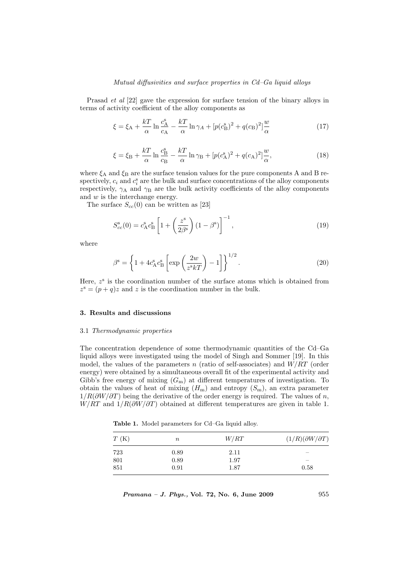#### Mutual diffusivities and surface properties in Cd–Ga liquid alloys

Prasad et al [22] gave the expression for surface tension of the binary alloys in terms of activity coefficient of the alloy components as

$$
\xi = \xi_A + \frac{kT}{\alpha} \ln \frac{c_A^s}{c_A} - \frac{kT}{\alpha} \ln \gamma_A + \left[ p(c_B^s)^2 + q(c_B)^2 \right] \frac{w}{\alpha} \tag{17}
$$

$$
\xi = \xi_{\rm B} + \frac{kT}{\alpha} \ln \frac{c_{\rm B}^{\rm s}}{c_{\rm B}} - \frac{kT}{\alpha} \ln \gamma_{\rm B} + \left[ p(c_{\rm A}^{\rm s})^2 + q(c_{\rm A})^2 \right] \frac{w}{\alpha},\tag{18}
$$

where  $\xi_A$  and  $\xi_B$  are the surface tension values for the pure components A and B respectively,  $c_i$  and  $c_i^s$  are the bulk and surface concentrations of the alloy components respectively,  $\gamma_A$  and  $\gamma_B$  are the bulk activity coefficients of the alloy components and  $w$  is the interchange energy.

The surface  $S_{cc}(0)$  can be written as [23]

$$
S_{cc}^{\rm s}(0) = c_{\rm A}^{\rm s} c_{\rm B}^{\rm s} \left[ 1 + \left( \frac{z^{\rm s}}{2\beta^{\rm s}} \right) (1 - \beta^{\rm s}) \right]^{-1}, \tag{19}
$$

where

$$
\beta^{\rm s} = \left\{ 1 + 4c_{\rm A}^{\rm s} c_{\rm B}^{\rm s} \left[ \exp\left(\frac{2w}{z^{\rm s}kT}\right) - 1 \right] \right\}^{1/2}.
$$
 (20)

Here,  $z^s$  is the coordination number of the surface atoms which is obtained from  $z^s = (p+q)z$  and z is the coordination number in the bulk.

#### 3. Results and discussions

#### 3.1 Thermodynamic properties

The concentration dependence of some thermodynamic quantities of the Cd–Ga liquid alloys were investigated using the model of Singh and Sommer [19]. In this model, the values of the parameters n (ratio of self-associates) and  $W/RT$  (order energy) were obtained by a simultaneous overall fit of the experimental activity and Gibb's free energy of mixing  $(G<sub>m</sub>)$  at different temperatures of investigation. To obtain the values of heat of mixing  $(H_m)$  and entropy  $(S_m)$ , an extra parameter  $1/R(\partial W/\partial T)$  being the derivative of the order energy is required. The values of n,  $W/RT$  and  $1/R(\partial W/\partial T)$  obtained at different temperatures are given in table 1.

Table 1. Model parameters for Cd–Ga liquid alloy.

| T(K) | $\, n$ | W/RT | $(1/R)(\partial W/\partial T)$ |
|------|--------|------|--------------------------------|
| 723  | 0.89   | 2.11 | $\overline{\phantom{a}}$       |
| 801  | 0.89   | 1.97 | $\overline{\phantom{0}}$       |
| 851  | 0.91   | 1.87 | 0.58                           |

| Pramana - J. Phys., Vol. 72, No. 6, June 2009 |  |  |  |  |  |  |  | 955 |
|-----------------------------------------------|--|--|--|--|--|--|--|-----|
|-----------------------------------------------|--|--|--|--|--|--|--|-----|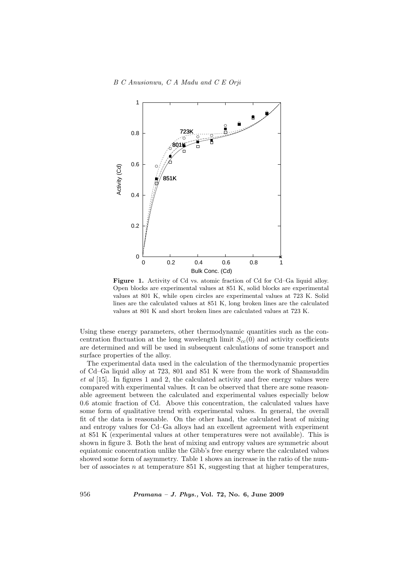

Figure 1. Activity of Cd vs. atomic fraction of Cd for Cd–Ga liquid alloy. Open blocks are experimental values at 851 K, solid blocks are experimental values at 801 K, while open circles are experimental values at 723 K. Solid lines are the calculated values at 851 K, long broken lines are the calculated values at 801 K and short broken lines are calculated values at 723 K.

Using these energy parameters, other thermodynamic quantities such as the concentration fluctuation at the long wavelength limit  $S_{cc}(0)$  and activity coefficients are determined and will be used in subsequent calculations of some transport and surface properties of the alloy.

The experimental data used in the calculation of the thermodynamic properties of Cd–Ga liquid alloy at 723, 801 and 851 K were from the work of Shamsuddin et al [15]. In figures 1 and 2, the calculated activity and free energy values were compared with experimental values. It can be observed that there are some reasonable agreement between the calculated and experimental values especially below 0.6 atomic fraction of Cd. Above this concentration, the calculated values have some form of qualitative trend with experimental values. In general, the overall fit of the data is reasonable. On the other hand, the calculated heat of mixing and entropy values for Cd–Ga alloys had an excellent agreement with experiment at 851 K (experimental values at other temperatures were not available). This is shown in figure 3. Both the heat of mixing and entropy values are symmetric about equiatomic concentration unlike the Gibb's free energy where the calculated values showed some form of asymmetry. Table 1 shows an increase in the ratio of the number of associates  $n$  at temperature 851 K, suggesting that at higher temperatures,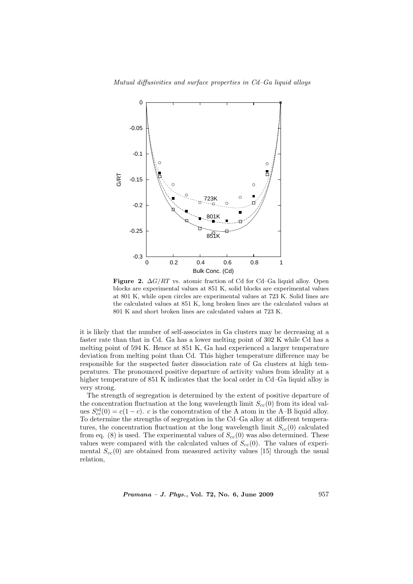

Figure 2.  $\Delta G/RT$  vs. atomic fraction of Cd for Cd–Ga liquid alloy. Open blocks are experimental values at 851 K, solid blocks are experimental values at 801 K, while open circles are experimental values at 723 K. Solid lines are the calculated values at 851 K, long broken lines are the calculated values at 801 K and short broken lines are calculated values at 723 K.

it is likely that the number of self-associates in Ga clusters may be decreasing at a faster rate than that in Cd. Ga has a lower melting point of 302 K while Cd has a melting point of 594 K. Hence at 851 K, Ga had experienced a larger temperature deviation from melting point than Cd. This higher temperature difference may be responsible for the suspected faster dissociation rate of Ga clusters at high temperatures. The pronounced positive departure of activity values from ideality at a higher temperature of 851 K indicates that the local order in Cd–Ga liquid alloy is very strong.

The strength of segregation is determined by the extent of positive departure of the concentration fluctuation at the long wavelength limit  $S_{cc}(0)$  from its ideal values  $S_{cc}^{id}(0) = c(1 - c)$ . c is the concentration of the A atom in the A–B liquid alloy. To determine the strengths of segregation in the Cd–Ga alloy at different temperatures, the concentration fluctuation at the long wavelength limit  $S_{cc}(0)$  calculated from eq. (8) is used. The experimental values of  $S_{cc}(0)$  was also determined. These values were compared with the calculated values of  $S_{cc}(0)$ . The values of experimental  $S_{cc}(0)$  are obtained from measured activity values [15] through the usual relation,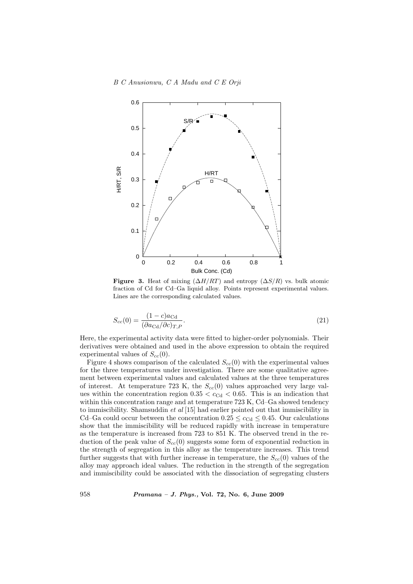

Figure 3. Heat of mixing  $(\Delta H/RT)$  and entropy  $(\Delta S/R)$  vs. bulk atomic fraction of Cd for Cd–Ga liquid alloy. Points represent experimental values. Lines are the corresponding calculated values.

$$
S_{cc}(0) = \frac{(1-c)a_{\text{Cd}}}{(\partial a_{\text{Cd}}/\partial c)_{T,P}}.\tag{21}
$$

Here, the experimental activity data were fitted to higher-order polynomials. Their derivatives were obtained and used in the above expression to obtain the required experimental values of  $S_{cc}(0)$ .

Figure 4 shows comparison of the calculated  $S_{cc}(0)$  with the experimental values for the three temperatures under investigation. There are some qualitative agreement between experimental values and calculated values at the three temperatures of interest. At temperature 723 K, the  $S_{cc}(0)$  values approached very large values within the concentration region  $0.35 < c_{\text{Cd}} < 0.65$ . This is an indication that within this concentration range and at temperature 723 K, Cd–Ga showed tendency to immiscibility. Shamsuddin et al [15] had earlier pointed out that immiscibility in Cd–Ga could occur between the concentration  $0.25 \leq c_{\text{Cd}} \leq 0.45$ . Our calculations show that the immiscibility will be reduced rapidly with increase in temperature as the temperature is increased from 723 to 851 K. The observed trend in the reduction of the peak value of  $S_{cc}(0)$  suggests some form of exponential reduction in the strength of segregation in this alloy as the temperature increases. This trend further suggests that with further increase in temperature, the  $S_{cc}(0)$  values of the alloy may approach ideal values. The reduction in the strength of the segregation and immiscibility could be associated with the dissociation of segregating clusters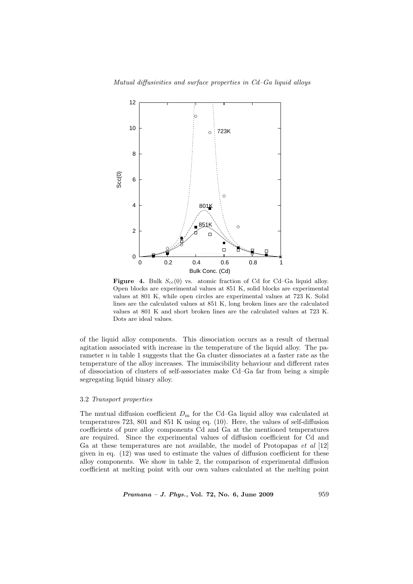

Figure 4. Bulk  $S_{cc}(0)$  vs. atomic fraction of Cd for Cd–Ga liquid alloy. Open blocks are experimental values at 851 K, solid blocks are experimental values at 801 K, while open circles are experimental values at 723 K. Solid lines are the calculated values at 851 K, long broken lines are the calculated values at 801 K and short broken lines are the calculated values at 723 K. Dots are ideal values.

of the liquid alloy components. This dissociation occurs as a result of thermal agitation associated with increase in the temperature of the liquid alloy. The parameter  $n$  in table 1 suggests that the Ga cluster dissociates at a faster rate as the temperature of the alloy increases. The immiscibility behaviour and different rates of dissociation of clusters of self-associates make Cd–Ga far from being a simple segregating liquid binary alloy.

## 3.2 Transport properties

The mutual diffusion coefficient  $D<sub>m</sub>$  for the Cd–Ga liquid alloy was calculated at temperatures 723, 801 and 851 K using eq. (10). Here, the values of self-diffusion coefficients of pure alloy components Cd and Ga at the mentioned temperatures are required. Since the experimental values of diffusion coefficient for Cd and Ga at these temperatures are not available, the model of Protopapas et al [12] given in eq. (12) was used to estimate the values of diffusion coefficient for these alloy components. We show in table 2, the comparison of experimental diffusion coefficient at melting point with our own values calculated at the melting point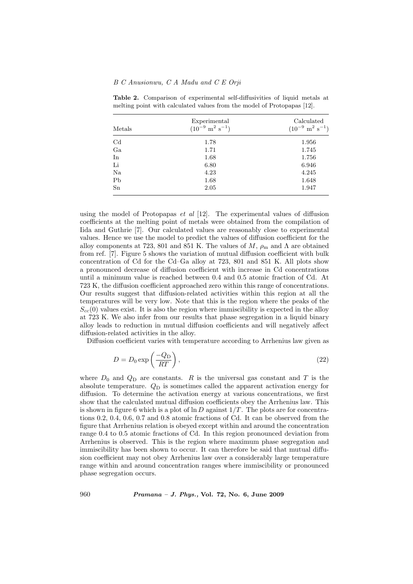# B C Anusionwu, C A Madu and C E Orji

| Metals         | Experimental<br>$(10^{-9} \text{ m}^2 \text{ s}^{-1})$ | Calculated<br>$(10^{-9} \text{ m}^2 \text{ s}^{-1})$ |  |
|----------------|--------------------------------------------------------|------------------------------------------------------|--|
| C <sub>d</sub> | 1.78                                                   | 1.956                                                |  |
| Ga             | 1.71                                                   | 1.745                                                |  |
| In             | 1.68                                                   | 1.756                                                |  |
| Li             | 6.80                                                   | 6.946                                                |  |
| Na             | 4.23                                                   | 4.245                                                |  |
| P <sub>b</sub> | 1.68                                                   | 1.648                                                |  |
| Sn             | 2.05                                                   | 1.947                                                |  |

Table 2. Comparison of experimental self-diffusivities of liquid metals at melting point with calculated values from the model of Protopapas [12].

using the model of Protopapas *et al*  $[12]$ . The experimental values of diffusion coefficients at the melting point of metals were obtained from the compilation of Iida and Guthrie [7]. Our calculated values are reasonably close to experimental values. Hence we use the model to predict the values of diffusion coefficient for the alloy components at 723, 801 and 851 K. The values of  $M$ ,  $\rho_{\rm m}$  and  $\Lambda$  are obtained from ref. [7]. Figure 5 shows the variation of mutual diffusion coefficient with bulk concentration of Cd for the Cd–Ga alloy at 723, 801 and 851 K. All plots show a pronounced decrease of diffusion coefficient with increase in Cd concentrations until a minimum value is reached between 0.4 and 0.5 atomic fraction of Cd. At 723 K, the diffusion coefficient approached zero within this range of concentrations. Our results suggest that diffusion-related activities within this region at all the temperatures will be very low. Note that this is the region where the peaks of the  $S_{cc}(0)$  values exist. It is also the region where immiscibility is expected in the alloy at 723 K. We also infer from our results that phase segregation in a liquid binary alloy leads to reduction in mutual diffusion coefficients and will negatively affect diffusion-related activities in the alloy.

Diffusion coefficient varies with temperature according to Arrhenius law given as

$$
D = D_0 \exp\left(\frac{-Q_D}{RT}\right),\tag{22}
$$

where  $D_0$  and  $Q_D$  are constants. R is the universal gas constant and T is the absolute temperature.  $Q_D$  is sometimes called the apparent activation energy for diffusion. To determine the activation energy at various concentrations, we first show that the calculated mutual diffusion coefficients obey the Arrhenius law. This is shown in figure 6 which is a plot of  $\ln D$  against  $1/T$ . The plots are for concentrations 0.2, 0.4, 0.6, 0.7 and 0.8 atomic fractions of Cd. It can be observed from the figure that Arrhenius relation is obeyed except within and around the concentration range 0.4 to 0.5 atomic fractions of Cd. In this region pronounced deviation from Arrhenius is observed. This is the region where maximum phase segregation and immiscibility has been shown to occur. It can therefore be said that mutual diffusion coefficient may not obey Arrhenius law over a considerably large temperature range within and around concentration ranges where immiscibility or pronounced phase segregation occurs.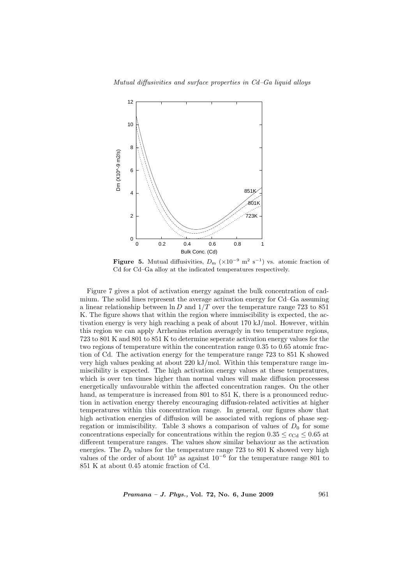![](_page_10_Figure_1.jpeg)

**Figure 5.** Mutual diffusivities,  $D_m$  ( $\times 10^{-9}$  m<sup>2</sup> s<sup>-1</sup>) vs. atomic fraction of Cd for Cd–Ga alloy at the indicated temperatures respectively.

Figure 7 gives a plot of activation energy against the bulk concentration of cadmium. The solid lines represent the average activation energy for Cd–Ga assuming a linear relationship between  $\ln D$  and  $1/T$  over the temperature range 723 to 851 K. The figure shows that within the region where immiscibility is expected, the activation energy is very high reaching a peak of about 170 kJ/mol. However, within this region we can apply Arrhenius relation averagely in two temperature regions, 723 to 801 K and 801 to 851 K to determine seperate activation energy values for the two regions of temperature within the concentration range 0.35 to 0.65 atomic fraction of Cd. The activation energy for the temperature range 723 to 851 K showed very high values peaking at about 220 kJ/mol. Within this temperature range immiscibility is expected. The high activation energy values at these temperatures, which is over ten times higher than normal values will make diffusion processess energetically unfavourable within the affected concentration ranges. On the other hand, as temperature is increased from 801 to 851 K, there is a pronounced reduction in activation energy thereby encouraging diffusion-related activities at higher temperatures within this concentration range. In general, our figures show that high activation energies of diffusion will be associated with regions of phase segregation or immiscibility. Table 3 shows a comparison of values of  $D_0$  for some concentrations especially for concentrations within the region  $0.35 \leq c_{\text{Cd}} \leq 0.65$  at different temperature ranges. The values show similar behaviour as the activation energies. The  $D_0$  values for the temperature range 723 to 801 K showed very high values of the order of about  $10^5$  as against  $10^{-6}$  for the temperature range 801 to 851 K at about 0.45 atomic fraction of Cd.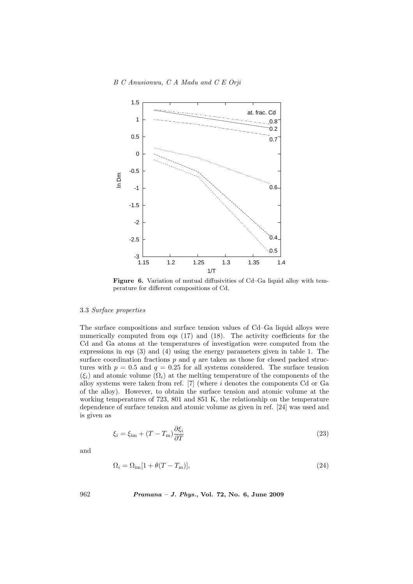![](_page_11_Figure_1.jpeg)

Figure 6. Variation of mutual diffusivities of Cd–Ga liquid alloy with temperature for different compositions of Cd.

# 3.3 Surface properties

The surface compositions and surface tension values of Cd–Ga liquid alloys were numerically computed from eqs (17) and (18). The activity coefficients for the Cd and Ga atoms at the temperatures of investigation were computed from the expressions in eqs (3) and (4) using the energy parameters given in table 1. The surface coordination fractions  $p$  and  $q$  are taken as those for closed packed structures with  $p = 0.5$  and  $q = 0.25$  for all systems considered. The surface tension  $(\xi_i)$  and atomic volume  $(\Omega_i)$  at the melting temperature of the components of the alloy systems were taken from ref.  $[7]$  (where i denotes the components Cd or Ga of the alloy). However, to obtain the surface tension and atomic volume at the working temperatures of 723, 801 and 851 K, the relationship on the temperature dependence of surface tension and atomic volume as given in ref. [24] was used and is given as

$$
\xi_i = \xi_{\rm im} + (T - T_{\rm m}) \frac{\partial \xi_i}{\partial T}
$$
\n(23)

and

$$
\Omega_i = \Omega_{\rm im}[1 + \theta(T - T_{\rm m})],\tag{24}
$$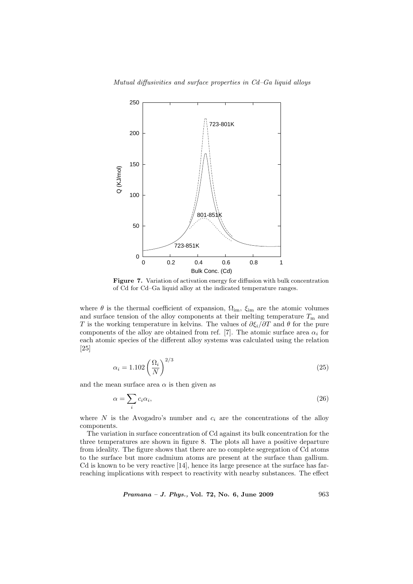![](_page_12_Figure_1.jpeg)

Figure 7. Variation of activation energy for diffusion with bulk concentration of Cd for Cd–Ga liquid alloy at the indicated temperature ranges.

where  $\theta$  is the thermal coefficient of expansion,  $\Omega_{\text{im}}$ ,  $\xi_{\text{im}}$  are the atomic volumes and surface tension of the alloy components at their melting temperature  $T<sub>m</sub>$  and T is the working temperature in kelvins. The values of  $\partial \xi_i/\partial T$  and  $\theta$  for the pure components of the alloy are obtained from ref. [7]. The atomic surface area  $\alpha_i$  for each atomic species of the different alloy systems was calculated using the relation [25]

$$
\alpha_i = 1.102 \left(\frac{\Omega_i}{N}\right)^{2/3} \tag{25}
$$

and the mean surface area  $\alpha$  is then given as

$$
\alpha = \sum_{i} c_i \alpha_i,\tag{26}
$$

where  $N$  is the Avogadro's number and  $c_i$  are the concentrations of the alloy components.

The variation in surface concentration of Cd against its bulk concentration for the three temperatures are shown in figure 8. The plots all have a positive departure from ideality. The figure shows that there are no complete segregation of Cd atoms to the surface but more cadmium atoms are present at the surface than gallium. Cd is known to be very reactive [14], hence its large presence at the surface has farreaching implications with respect to reactivity with nearby substances. The effect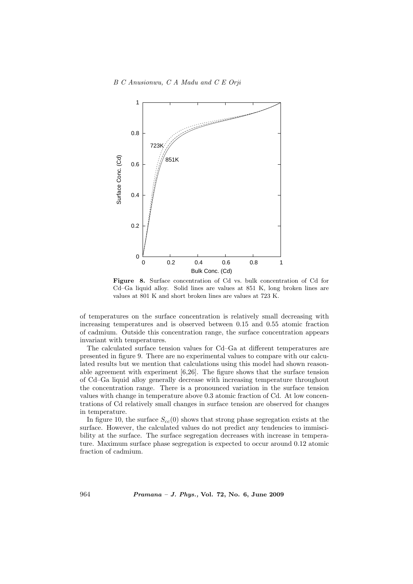![](_page_13_Figure_1.jpeg)

Figure 8. Surface concentration of Cd vs. bulk concentration of Cd for Cd–Ga liquid alloy. Solid lines are values at 851 K, long broken lines are values at 801 K and short broken lines are values at 723 K.

of temperatures on the surface concentration is relatively small decreasing with increasing temperatures and is observed between 0.15 and 0.55 atomic fraction of cadmium. Outside this concentration range, the surface concentration appears invariant with temperatures.

The calculated surface tension values for Cd–Ga at different temperatures are presented in figure 9. There are no experimental values to compare with our calculated results but we mention that calculations using this model had shown reasonable agreement with experiment [6,26]. The figure shows that the surface tension of Cd–Ga liquid alloy generally decrease with increasing temperature throughout the concentration range. There is a pronounced variation in the surface tension values with change in temperature above 0.3 atomic fraction of Cd. At low concentrations of Cd relatively small changes in surface tension are observed for changes in temperature.

In figure 10, the surface  $S_{cc}(0)$  shows that strong phase segregation exists at the surface. However, the calculated values do not predict any tendencies to immiscibility at the surface. The surface segregation decreases with increase in temperature. Maximum surface phase segregation is expected to occur around 0.12 atomic fraction of cadmium.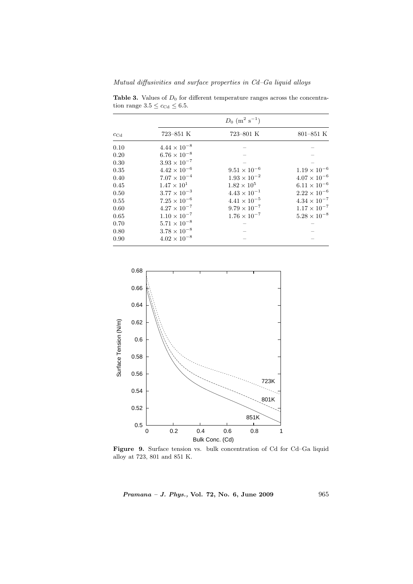Mutual diffusivities and surface properties in Cd–Ga liquid alloys

| $c_{\mathrm{Cd}}$ | $D_0$ (m <sup>2</sup> s <sup>-1</sup> ) |                       |                       |  |  |
|-------------------|-----------------------------------------|-----------------------|-----------------------|--|--|
|                   | $723 - 851$ K                           | $723 - 801$ K         | $801 - 851$ K         |  |  |
| 0.10              | $4.44 \times 10^{-8}$                   |                       |                       |  |  |
| 0.20              | $6.76\times10^{-8}$                     |                       |                       |  |  |
| 0.30              | $3.93 \times 10^{-7}$                   |                       |                       |  |  |
| 0.35              | $4.42 \times 10^{-6}$                   | $9.51 \times 10^{-6}$ | $1.19 \times 10^{-6}$ |  |  |
| 0.40              | $7.07\times10^{-4}$                     | $1.93 \times 10^{-2}$ | $4.07 \times 10^{-6}$ |  |  |
| 0.45              | $1.47 \times 10^{1}$                    | $1.82\times10^5$      | $6.11\times10^{-6}$   |  |  |
| $0.50\,$          | $3.77 \times 10^{-3}$                   | $4.43 \times 10^{-1}$ | $2.22 \times 10^{-6}$ |  |  |
| 0.55              | $7.25 \times 10^{-6}$                   | $4.41 \times 10^{-5}$ | $4.34 \times 10^{-7}$ |  |  |
| 0.60              | $4.27 \times 10^{-7}$                   | $9.79 \times 10^{-7}$ | $1.17 \times 10^{-7}$ |  |  |
| 0.65              | $1.10 \times 10^{-7}$                   | $1.76 \times 10^{-7}$ | $5.28\times10^{-8}$   |  |  |
| 0.70              | $5.71 \times 10^{-8}$                   |                       |                       |  |  |
| 0.80              | $3.78\times10^{-8}$                     |                       |                       |  |  |
| 0.90              | $4.02 \times 10^{-8}$                   |                       |                       |  |  |

Table 3. Values of  $D_0$  for different temperature ranges across the concentration range  $3.5 \leq c_{\mathrm{Cd}} \leq 6.5$ .

![](_page_14_Figure_3.jpeg)

Figure 9. Surface tension vs. bulk concentration of Cd for Cd–Ga liquid alloy at 723, 801 and 851 K.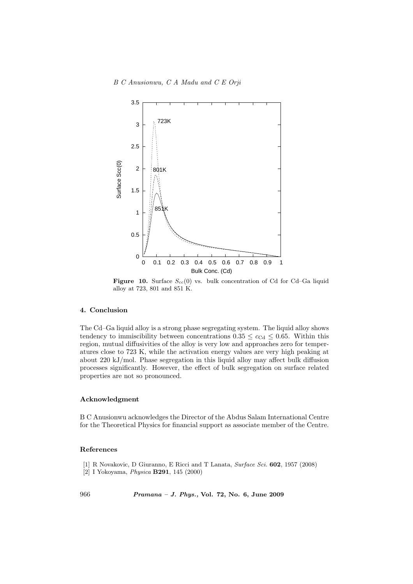![](_page_15_Figure_1.jpeg)

Figure 10. Surface  $S_{cc}(0)$  vs. bulk concentration of Cd for Cd–Ga liquid alloy at 723, 801 and 851 K.

# 4. Conclusion

The Cd–Ga liquid alloy is a strong phase segregating system. The liquid alloy shows tendency to immiscibility between concentrations  $0.35 \leq c_{\text{Cd}} \leq 0.65$ . Within this region, mutual diffusivities of the alloy is very low and approaches zero for temperatures close to 723 K, while the activation energy values are very high peaking at about 220 kJ/mol. Phase segregation in this liquid alloy may affect bulk diffusion processes significantly. However, the effect of bulk segregation on surface related properties are not so pronounced.

# Acknowledgment

B C Anusionwu acknowledges the Director of the Abdus Salam International Centre for the Theoretical Physics for financial support as associate member of the Centre.

#### References

- [1] R Novakovic, D Giuranno, E Ricci and T Lanata, Surface Sci. 602, 1957 (2008)
- [2] I Yokoyama, Physica B291, 145 (2000)